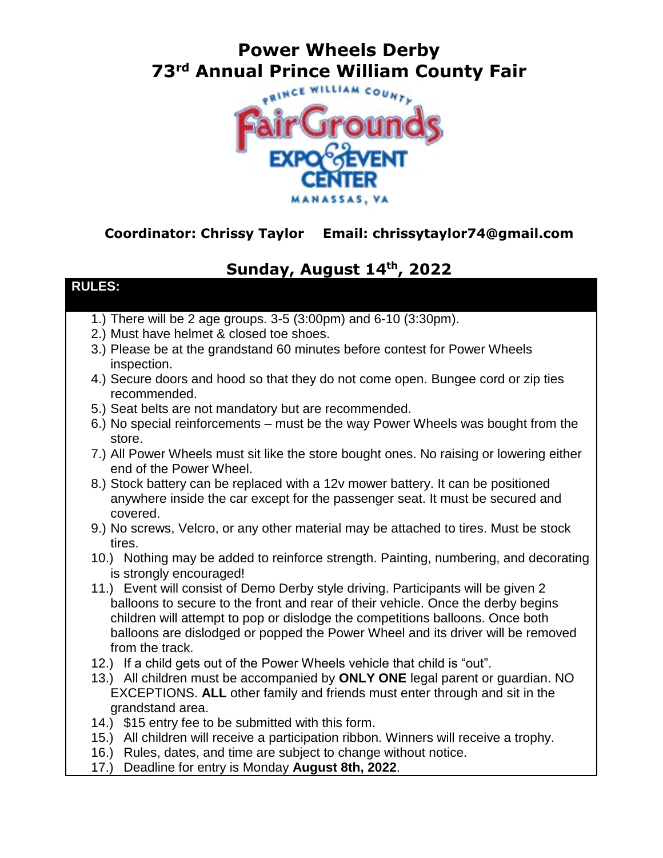# **Power Wheels Derby 73rd Annual Prince William County Fair**



#### **Coordinator: Chrissy Taylor Email: chrissytaylor74@gmail.com**

### **Sunday, August 14th , 2022**

#### **RULES:**

- 1.) There will be 2 age groups. 3-5 (3:00pm) and 6-10 (3:30pm).
- 2.) Must have helmet & closed toe shoes.
- 3.) Please be at the grandstand 60 minutes before contest for Power Wheels inspection.
- 4.) Secure doors and hood so that they do not come open. Bungee cord or zip ties recommended.
- 5.) Seat belts are not mandatory but are recommended.
- 6.) No special reinforcements must be the way Power Wheels was bought from the store.
- 7.) All Power Wheels must sit like the store bought ones. No raising or lowering either end of the Power Wheel.
- 8.) Stock battery can be replaced with a 12v mower battery. It can be positioned anywhere inside the car except for the passenger seat. It must be secured and covered.
- 9.) No screws, Velcro, or any other material may be attached to tires. Must be stock tires.
- 10.) Nothing may be added to reinforce strength. Painting, numbering, and decorating is strongly encouraged!
- 11.) Event will consist of Demo Derby style driving. Participants will be given 2 balloons to secure to the front and rear of their vehicle. Once the derby begins children will attempt to pop or dislodge the competitions balloons. Once both balloons are dislodged or popped the Power Wheel and its driver will be removed from the track.
- 12.) If a child gets out of the Power Wheels vehicle that child is "out".
- 13.) All children must be accompanied by **ONLY ONE** legal parent or guardian. NO EXCEPTIONS. **ALL** other family and friends must enter through and sit in the grandstand area.
- 14.) \$15 entry fee to be submitted with this form.
- 15.) All children will receive a participation ribbon. Winners will receive a trophy.
- 16.) Rules, dates, and time are subject to change without notice.
- 17.) Deadline for entry is Monday **August 8th, 2022**.